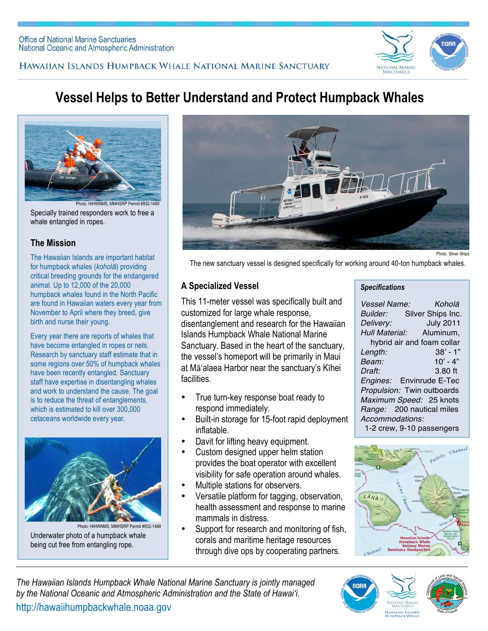



# **Vessel Helps to Better Understand and Protect Humpback Whales**



Specially trained responders work to free a whale entangled in ropes. oto: HIHWNMS, MMHSRP Permit #932-148

## **The Mission**

The Hawaiian Islands are important habitat for humpback whales (*koholā*) providing critical breeding grounds for the endangered animal. Up to 12,000 of the 20,000 humpback whales found in the North Pacific are found in Hawaiian waters every year from November to April where they breed, give birth and nurse their young.

Every year there are reports of whales that have become entangled in ropes or nets. Research by sanctuary staff estimate that in some regions over 50% of humpback whales have been recently entangled. Sanctuary staff have expertise in disentangling whales and work to understand the cause. The goal is to reduce the threat of entanglements, which is estimated to kill over 300,000 cetaceans worldwide every year.



Underwater photo of a humpback whale being cut free from entangling rope. Photo: HIHWNMS, MMHSRP Permit #932-1489



Photo: Silver Ships

The new sanctuary vessel is designed specifically for working around 40-ton humpback whales.

# **A Specialized Vessel**

This 11-meter vessel was specifically built and customized for large whale response, disentanglement and research for the Hawaiian Islands Humpback Whale National Marine Sanctuary. Based in the heart of the sanctuary, the vessel's homeport will be primarily in Maui at Mā'alaea Harbor near the sanctuary's Kīhei facilities.

- True turn-key response boat ready to respond immediately.
- Built-in storage for 15-foot rapid deployment inflatable.
- Davit for lifting heavy equipment.
- Custom designed upper helm station provides the boat operator with excellent visibility for safe operation around whales.
- Multiple stations for observers.
- Versatile platform for tagging, observation, health assessment and response to marine mammals in distress.
- Support for research and monitoring of fish, corals and maritime heritage resources through dive ops by cooperating partners.

#### *Specifications*

| Vessel Name:    | Koholā                       |
|-----------------|------------------------------|
| <i>Builder:</i> | Silver Ships Inc.            |
| Delivery:       | <b>July 2011</b>             |
|                 | Hull Material: Aluminum,     |
|                 | hybrid air and foam collar   |
| Length:         | $38' - 1"$                   |
| Beam:           | $10' - 4"$                   |
| Draft:          | $3.80$ ft                    |
|                 | Engines: Envinrude E-Tec     |
|                 | Propulsion: Twin outboards   |
|                 | Maximum Speed: 25 knots      |
|                 | Range: 200 nautical miles    |
| Accommodations: |                              |
|                 | $1.0$ argue 0.10 noongongoro |

10 passengers



*The Hawaiian Islands Humpback Whale National Marine Sanctuary is jointly managed by the National Oceanic and Atmospheric Administration and the State of Hawai'i.* http://hawaiihumpbackwhale.noaa.gov



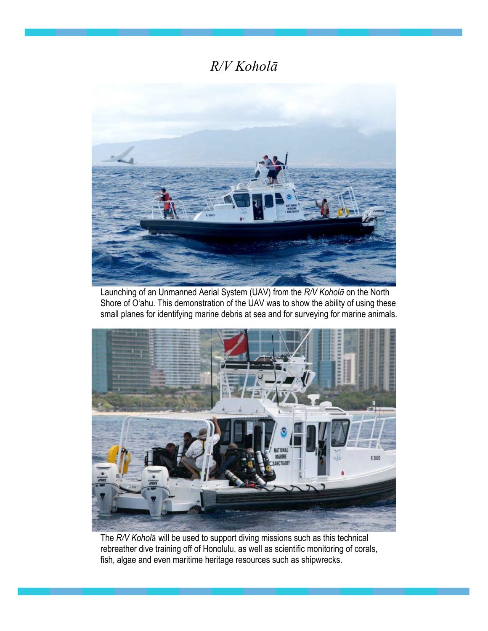# *R/V Koholā*



Launching of an Unmanned Aerial System (UAV) from the *R/V Koholā* on the North Shore of O'ahu. This demonstration of the UAV was to show the ability of using these small planes for identifying marine debris at sea and for surveying for marine animals.



The *R/V Kohol*ā will be used to support diving missions such as this technical rebreather dive training off of Honolulu, as well as scientific monitoring of corals, fish, algae and even maritime heritage resources such as shipwrecks.